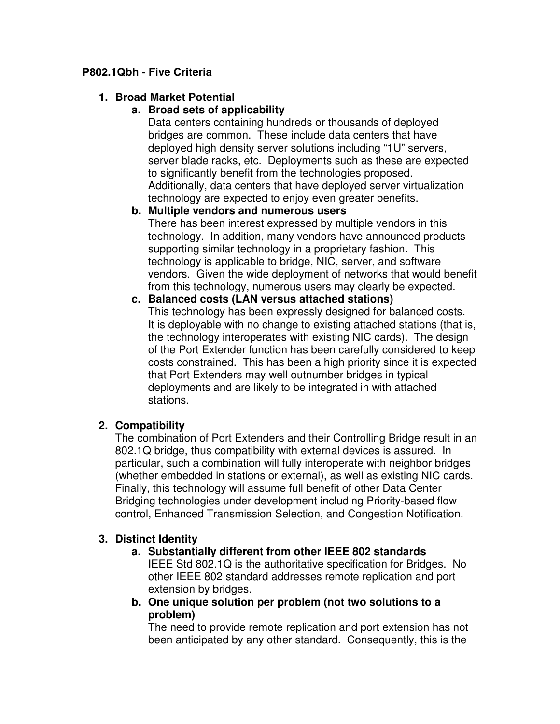## **P802.1Qbh - Five Criteria**

## **1. Broad Market Potential**

## **a. Broad sets of applicability**

Data centers containing hundreds or thousands of deployed bridges are common. These include data centers that have deployed high density server solutions including "1U" servers, server blade racks, etc. Deployments such as these are expected to significantly benefit from the technologies proposed. Additionally, data centers that have deployed server virtualization technology are expected to enjoy even greater benefits.

## **b. Multiple vendors and numerous users**

There has been interest expressed by multiple vendors in this technology. In addition, many vendors have announced products supporting similar technology in a proprietary fashion. This technology is applicable to bridge, NIC, server, and software vendors. Given the wide deployment of networks that would benefit from this technology, numerous users may clearly be expected.

# **c. Balanced costs (LAN versus attached stations)**

This technology has been expressly designed for balanced costs. It is deployable with no change to existing attached stations (that is, the technology interoperates with existing NIC cards). The design of the Port Extender function has been carefully considered to keep costs constrained. This has been a high priority since it is expected that Port Extenders may well outnumber bridges in typical deployments and are likely to be integrated in with attached stations.

## **2. Compatibility**

The combination of Port Extenders and their Controlling Bridge result in an 802.1Q bridge, thus compatibility with external devices is assured. In particular, such a combination will fully interoperate with neighbor bridges (whether embedded in stations or external), as well as existing NIC cards. Finally, this technology will assume full benefit of other Data Center Bridging technologies under development including Priority-based flow control, Enhanced Transmission Selection, and Congestion Notification.

## **3. Distinct Identity**

#### **a. Substantially different from other IEEE 802 standards**

IEEE Std 802.1Q is the authoritative specification for Bridges. No other IEEE 802 standard addresses remote replication and port extension by bridges.

**b. One unique solution per problem (not two solutions to a problem)** 

The need to provide remote replication and port extension has not been anticipated by any other standard. Consequently, this is the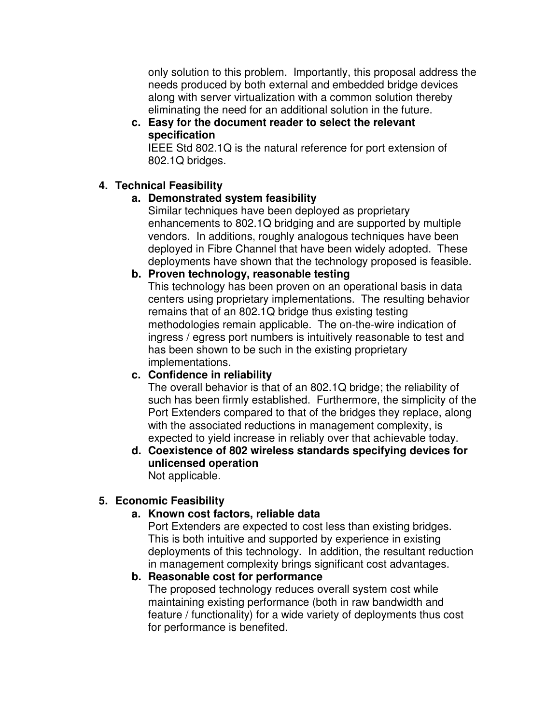only solution to this problem. Importantly, this proposal address the needs produced by both external and embedded bridge devices along with server virtualization with a common solution thereby eliminating the need for an additional solution in the future.

## **c. Easy for the document reader to select the relevant specification**

IEEE Std 802.1Q is the natural reference for port extension of 802.1Q bridges.

## **4. Technical Feasibility**

# **a. Demonstrated system feasibility**

Similar techniques have been deployed as proprietary enhancements to 802.1Q bridging and are supported by multiple vendors. In additions, roughly analogous techniques have been deployed in Fibre Channel that have been widely adopted. These deployments have shown that the technology proposed is feasible.

## **b. Proven technology, reasonable testing**

This technology has been proven on an operational basis in data centers using proprietary implementations. The resulting behavior remains that of an 802.1Q bridge thus existing testing methodologies remain applicable. The on-the-wire indication of ingress / egress port numbers is intuitively reasonable to test and has been shown to be such in the existing proprietary implementations.

# **c. Confidence in reliability**

The overall behavior is that of an 802.1Q bridge; the reliability of such has been firmly established. Furthermore, the simplicity of the Port Extenders compared to that of the bridges they replace, along with the associated reductions in management complexity, is expected to yield increase in reliably over that achievable today.

#### **d. Coexistence of 802 wireless standards specifying devices for unlicensed operation**  Not applicable.

# **5. Economic Feasibility**

# **a. Known cost factors, reliable data**

Port Extenders are expected to cost less than existing bridges. This is both intuitive and supported by experience in existing deployments of this technology. In addition, the resultant reduction in management complexity brings significant cost advantages.

# **b. Reasonable cost for performance**

The proposed technology reduces overall system cost while maintaining existing performance (both in raw bandwidth and feature / functionality) for a wide variety of deployments thus cost for performance is benefited.